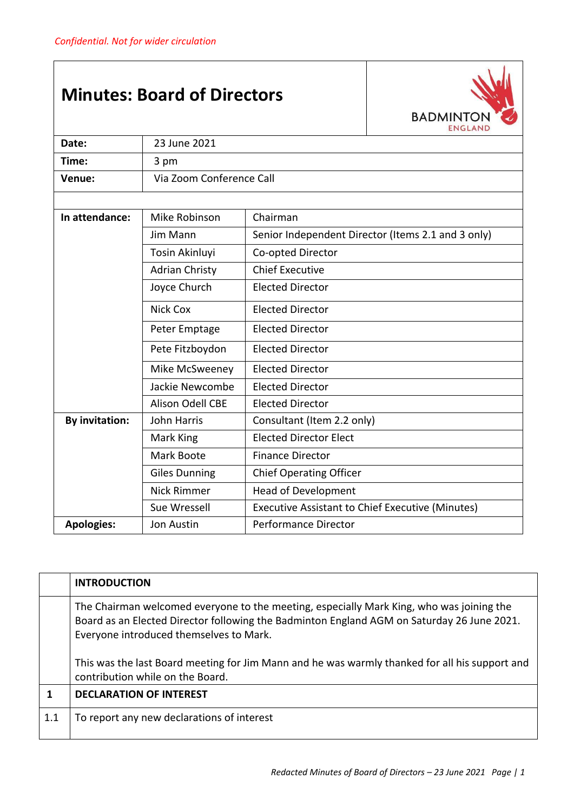## **Minutes: Board of Directors**



| Date:                 | 23 June 2021             |                                                         |  |
|-----------------------|--------------------------|---------------------------------------------------------|--|
| Time:                 | 3 pm                     |                                                         |  |
| Venue:                | Via Zoom Conference Call |                                                         |  |
|                       |                          |                                                         |  |
| In attendance:        | Mike Robinson            | Chairman                                                |  |
|                       | Jim Mann                 | Senior Independent Director (Items 2.1 and 3 only)      |  |
|                       | Tosin Akinluyi           | Co-opted Director                                       |  |
|                       | <b>Adrian Christy</b>    | <b>Chief Executive</b>                                  |  |
|                       | Joyce Church             | <b>Elected Director</b>                                 |  |
|                       | <b>Nick Cox</b>          | <b>Elected Director</b>                                 |  |
|                       | Peter Emptage            | <b>Elected Director</b>                                 |  |
|                       | Pete Fitzboydon          | <b>Elected Director</b>                                 |  |
|                       | Mike McSweeney           | <b>Elected Director</b>                                 |  |
|                       | Jackie Newcombe          | <b>Elected Director</b>                                 |  |
|                       | <b>Alison Odell CBE</b>  | <b>Elected Director</b>                                 |  |
| <b>By invitation:</b> | John Harris              | Consultant (Item 2.2 only)                              |  |
|                       | Mark King                | <b>Elected Director Elect</b>                           |  |
|                       | Mark Boote               | <b>Finance Director</b>                                 |  |
|                       | <b>Giles Dunning</b>     | <b>Chief Operating Officer</b>                          |  |
|                       | <b>Nick Rimmer</b>       | <b>Head of Development</b>                              |  |
|                       | Sue Wressell             | <b>Executive Assistant to Chief Executive (Minutes)</b> |  |
| <b>Apologies:</b>     | Jon Austin               | <b>Performance Director</b>                             |  |

|     | <b>INTRODUCTION</b>                                                                                                                                                                                                               |
|-----|-----------------------------------------------------------------------------------------------------------------------------------------------------------------------------------------------------------------------------------|
|     | The Chairman welcomed everyone to the meeting, especially Mark King, who was joining the<br>Board as an Elected Director following the Badminton England AGM on Saturday 26 June 2021.<br>Everyone introduced themselves to Mark. |
|     | This was the last Board meeting for Jim Mann and he was warmly thanked for all his support and<br>contribution while on the Board.                                                                                                |
|     | <b>DECLARATION OF INTEREST</b>                                                                                                                                                                                                    |
| 1.1 | To report any new declarations of interest                                                                                                                                                                                        |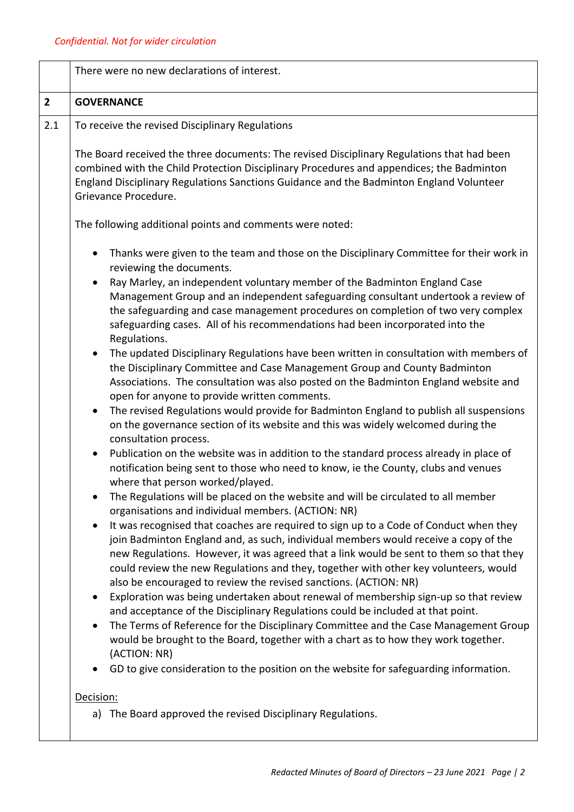|                | There were no new declarations of interest.                                                                                                                                                                                                                                                                                                                                                                                                     |  |
|----------------|-------------------------------------------------------------------------------------------------------------------------------------------------------------------------------------------------------------------------------------------------------------------------------------------------------------------------------------------------------------------------------------------------------------------------------------------------|--|
| $\overline{2}$ | <b>GOVERNANCE</b>                                                                                                                                                                                                                                                                                                                                                                                                                               |  |
| 2.1            | To receive the revised Disciplinary Regulations                                                                                                                                                                                                                                                                                                                                                                                                 |  |
|                | The Board received the three documents: The revised Disciplinary Regulations that had been<br>combined with the Child Protection Disciplinary Procedures and appendices; the Badminton<br>England Disciplinary Regulations Sanctions Guidance and the Badminton England Volunteer<br>Grievance Procedure.                                                                                                                                       |  |
|                | The following additional points and comments were noted:                                                                                                                                                                                                                                                                                                                                                                                        |  |
|                | Thanks were given to the team and those on the Disciplinary Committee for their work in<br>$\bullet$<br>reviewing the documents.                                                                                                                                                                                                                                                                                                                |  |
|                | Ray Marley, an independent voluntary member of the Badminton England Case<br>$\bullet$<br>Management Group and an independent safeguarding consultant undertook a review of<br>the safeguarding and case management procedures on completion of two very complex<br>safeguarding cases. All of his recommendations had been incorporated into the<br>Regulations.                                                                               |  |
|                | The updated Disciplinary Regulations have been written in consultation with members of<br>the Disciplinary Committee and Case Management Group and County Badminton<br>Associations. The consultation was also posted on the Badminton England website and<br>open for anyone to provide written comments.                                                                                                                                      |  |
|                | The revised Regulations would provide for Badminton England to publish all suspensions<br>$\bullet$<br>on the governance section of its website and this was widely welcomed during the<br>consultation process.                                                                                                                                                                                                                                |  |
|                | Publication on the website was in addition to the standard process already in place of<br>notification being sent to those who need to know, ie the County, clubs and venues<br>where that person worked/played.                                                                                                                                                                                                                                |  |
|                | The Regulations will be placed on the website and will be circulated to all member<br>organisations and individual members. (ACTION: NR)                                                                                                                                                                                                                                                                                                        |  |
|                | It was recognised that coaches are required to sign up to a Code of Conduct when they<br>$\bullet$<br>join Badminton England and, as such, individual members would receive a copy of the<br>new Regulations. However, it was agreed that a link would be sent to them so that they<br>could review the new Regulations and they, together with other key volunteers, would<br>also be encouraged to review the revised sanctions. (ACTION: NR) |  |
|                | Exploration was being undertaken about renewal of membership sign-up so that review<br>and acceptance of the Disciplinary Regulations could be included at that point.<br>The Terms of Reference for the Disciplinary Committee and the Case Management Group<br>would be brought to the Board, together with a chart as to how they work together.                                                                                             |  |
|                | (ACTION: NR)<br>GD to give consideration to the position on the website for safeguarding information.                                                                                                                                                                                                                                                                                                                                           |  |
|                | Decision:<br>a) The Board approved the revised Disciplinary Regulations.                                                                                                                                                                                                                                                                                                                                                                        |  |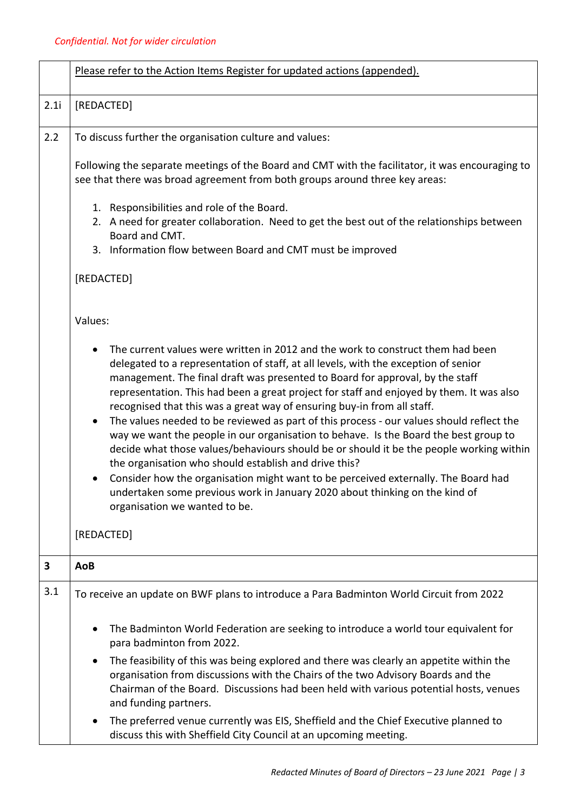|      | Please refer to the Action Items Register for updated actions (appended).                                                                                                                                                                                                                                                                                                                                                                                                                                                                                                                                                                                                                                                                                                                                                                                                                                                                                                                 |  |  |  |
|------|-------------------------------------------------------------------------------------------------------------------------------------------------------------------------------------------------------------------------------------------------------------------------------------------------------------------------------------------------------------------------------------------------------------------------------------------------------------------------------------------------------------------------------------------------------------------------------------------------------------------------------------------------------------------------------------------------------------------------------------------------------------------------------------------------------------------------------------------------------------------------------------------------------------------------------------------------------------------------------------------|--|--|--|
| 2.1i | [REDACTED]                                                                                                                                                                                                                                                                                                                                                                                                                                                                                                                                                                                                                                                                                                                                                                                                                                                                                                                                                                                |  |  |  |
| 2.2  | To discuss further the organisation culture and values:                                                                                                                                                                                                                                                                                                                                                                                                                                                                                                                                                                                                                                                                                                                                                                                                                                                                                                                                   |  |  |  |
|      | Following the separate meetings of the Board and CMT with the facilitator, it was encouraging to<br>see that there was broad agreement from both groups around three key areas:                                                                                                                                                                                                                                                                                                                                                                                                                                                                                                                                                                                                                                                                                                                                                                                                           |  |  |  |
|      | 1. Responsibilities and role of the Board.<br>2. A need for greater collaboration. Need to get the best out of the relationships between<br>Board and CMT.<br>3. Information flow between Board and CMT must be improved                                                                                                                                                                                                                                                                                                                                                                                                                                                                                                                                                                                                                                                                                                                                                                  |  |  |  |
|      | [REDACTED]                                                                                                                                                                                                                                                                                                                                                                                                                                                                                                                                                                                                                                                                                                                                                                                                                                                                                                                                                                                |  |  |  |
|      | Values:                                                                                                                                                                                                                                                                                                                                                                                                                                                                                                                                                                                                                                                                                                                                                                                                                                                                                                                                                                                   |  |  |  |
|      | The current values were written in 2012 and the work to construct them had been<br>delegated to a representation of staff, at all levels, with the exception of senior<br>management. The final draft was presented to Board for approval, by the staff<br>representation. This had been a great project for staff and enjoyed by them. It was also<br>recognised that this was a great way of ensuring buy-in from all staff.<br>The values needed to be reviewed as part of this process - our values should reflect the<br>$\bullet$<br>way we want the people in our organisation to behave. Is the Board the best group to<br>decide what those values/behaviours should be or should it be the people working within<br>the organisation who should establish and drive this?<br>Consider how the organisation might want to be perceived externally. The Board had<br>undertaken some previous work in January 2020 about thinking on the kind of<br>organisation we wanted to be. |  |  |  |
|      | [REDACTED]                                                                                                                                                                                                                                                                                                                                                                                                                                                                                                                                                                                                                                                                                                                                                                                                                                                                                                                                                                                |  |  |  |
| 3    | AoB                                                                                                                                                                                                                                                                                                                                                                                                                                                                                                                                                                                                                                                                                                                                                                                                                                                                                                                                                                                       |  |  |  |
| 3.1  | To receive an update on BWF plans to introduce a Para Badminton World Circuit from 2022                                                                                                                                                                                                                                                                                                                                                                                                                                                                                                                                                                                                                                                                                                                                                                                                                                                                                                   |  |  |  |
|      | The Badminton World Federation are seeking to introduce a world tour equivalent for<br>para badminton from 2022.                                                                                                                                                                                                                                                                                                                                                                                                                                                                                                                                                                                                                                                                                                                                                                                                                                                                          |  |  |  |
|      | The feasibility of this was being explored and there was clearly an appetite within the<br>organisation from discussions with the Chairs of the two Advisory Boards and the<br>Chairman of the Board. Discussions had been held with various potential hosts, venues<br>and funding partners.                                                                                                                                                                                                                                                                                                                                                                                                                                                                                                                                                                                                                                                                                             |  |  |  |
|      | The preferred venue currently was EIS, Sheffield and the Chief Executive planned to<br>$\bullet$<br>discuss this with Sheffield City Council at an upcoming meeting.                                                                                                                                                                                                                                                                                                                                                                                                                                                                                                                                                                                                                                                                                                                                                                                                                      |  |  |  |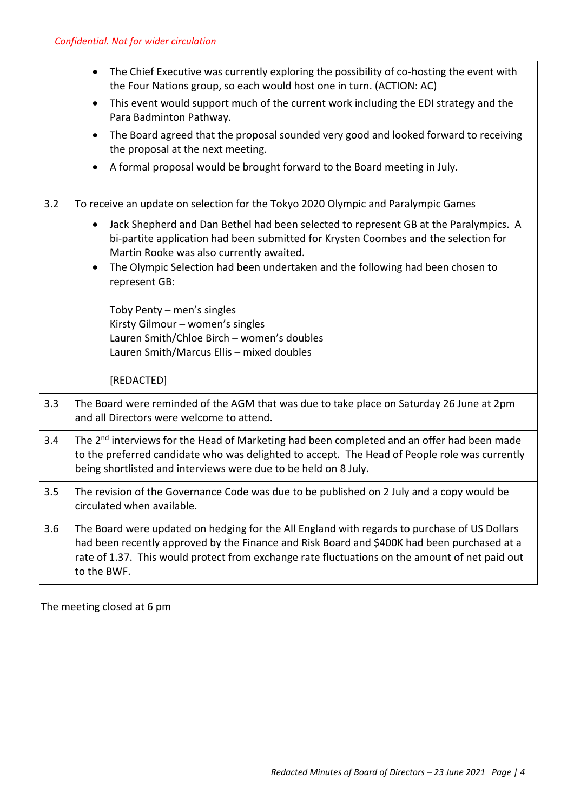|     | The Chief Executive was currently exploring the possibility of co-hosting the event with<br>the Four Nations group, so each would host one in turn. (ACTION: AC)                                                                                                                                             |  |
|-----|--------------------------------------------------------------------------------------------------------------------------------------------------------------------------------------------------------------------------------------------------------------------------------------------------------------|--|
|     | This event would support much of the current work including the EDI strategy and the<br>$\bullet$<br>Para Badminton Pathway.                                                                                                                                                                                 |  |
|     | The Board agreed that the proposal sounded very good and looked forward to receiving<br>the proposal at the next meeting.                                                                                                                                                                                    |  |
|     | A formal proposal would be brought forward to the Board meeting in July.                                                                                                                                                                                                                                     |  |
| 3.2 | To receive an update on selection for the Tokyo 2020 Olympic and Paralympic Games                                                                                                                                                                                                                            |  |
|     | Jack Shepherd and Dan Bethel had been selected to represent GB at the Paralympics. A<br>$\bullet$<br>bi-partite application had been submitted for Krysten Coombes and the selection for<br>Martin Rooke was also currently awaited.                                                                         |  |
|     | The Olympic Selection had been undertaken and the following had been chosen to<br>represent GB:                                                                                                                                                                                                              |  |
|     | Toby Penty - men's singles                                                                                                                                                                                                                                                                                   |  |
|     | Kirsty Gilmour - women's singles<br>Lauren Smith/Chloe Birch - women's doubles                                                                                                                                                                                                                               |  |
|     | Lauren Smith/Marcus Ellis - mixed doubles                                                                                                                                                                                                                                                                    |  |
|     | [REDACTED]                                                                                                                                                                                                                                                                                                   |  |
| 3.3 | The Board were reminded of the AGM that was due to take place on Saturday 26 June at 2pm<br>and all Directors were welcome to attend.                                                                                                                                                                        |  |
| 3.4 | The 2 <sup>nd</sup> interviews for the Head of Marketing had been completed and an offer had been made<br>to the preferred candidate who was delighted to accept. The Head of People role was currently<br>being shortlisted and interviews were due to be held on 8 July.                                   |  |
| 3.5 | The revision of the Governance Code was due to be published on 2 July and a copy would be<br>circulated when available.                                                                                                                                                                                      |  |
| 3.6 | The Board were updated on hedging for the All England with regards to purchase of US Dollars<br>had been recently approved by the Finance and Risk Board and \$400K had been purchased at a<br>rate of 1.37. This would protect from exchange rate fluctuations on the amount of net paid out<br>to the BWF. |  |
|     |                                                                                                                                                                                                                                                                                                              |  |

The meeting closed at 6 pm